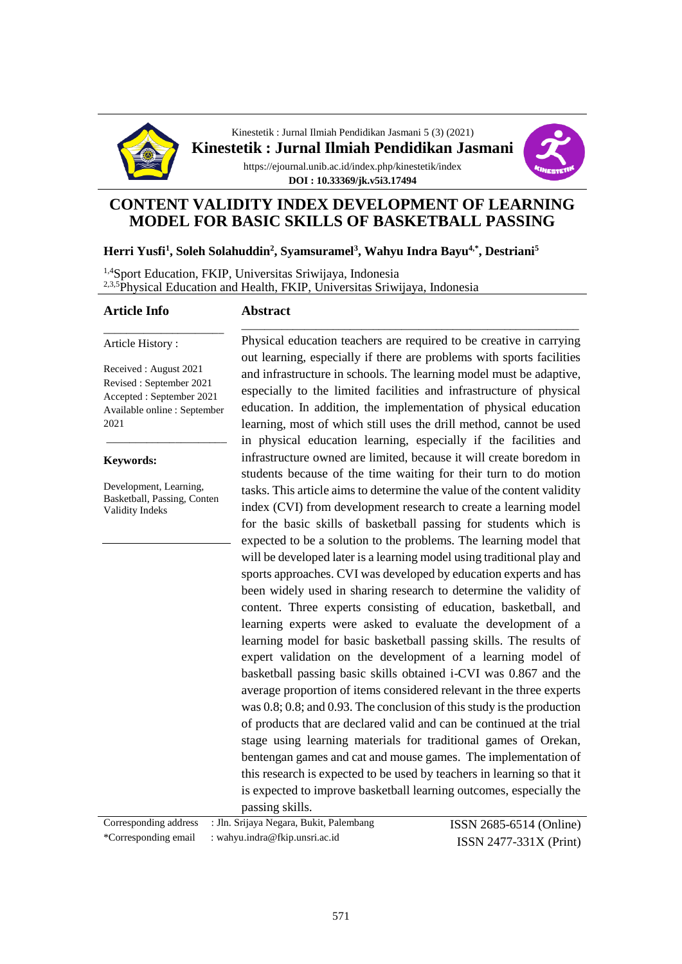

Kinestetik : Jurnal Ilmiah Pendidikan Jasmani 5 (3) (2021) **Kinestetik : Jurnal Ilmiah Pendidikan Jasmani** https://ejournal.unib.ac.id/index.php/kinestetik/index **DOI : 10.33369/jk.v5i3.17494**



## **CONTENT VALIDITY INDEX DEVELOPMENT OF LEARNING MODEL FOR BASIC SKILLS OF BASKETBALL PASSING**

### **Herri Yusfi<sup>1</sup> , Soleh Solahuddin<sup>2</sup> , Syamsuramel<sup>3</sup> , Wahyu Indra Bayu4,\* , Destriani<sup>5</sup>**

1,4Sport Education, FKIP, Universitas Sriwijaya, Indonesia <sup>2,3,5</sup>Physical Education and Health, FKIP, Universitas Sriwijaya, Indonesia

### **Article Info**

#### **Abstract**

Article History :

Received : August 2021 Revised : September 2021 Accepted : September 2021 Available online : September 2021

\_\_\_\_\_\_\_\_\_\_\_\_\_\_\_\_\_\_\_\_\_

\_\_\_\_\_\_\_\_\_\_\_\_\_\_\_\_\_\_\_\_\_

#### **Keywords:**

Development, Learning, Basketball, Passing, Conten Validity Indeks

Physical education teachers are required to be creative in carrying out learning, especially if there are problems with sports facilities and infrastructure in schools. The learning model must be adaptive, especially to the limited facilities and infrastructure of physical education. In addition, the implementation of physical education learning, most of which still uses the drill method, cannot be used in physical education learning, especially if the facilities and infrastructure owned are limited, because it will create boredom in students because of the time waiting for their turn to do motion tasks. This article aims to determine the value of the content validity index (CVI) from development research to create a learning model for the basic skills of basketball passing for students which is expected to be a solution to the problems. The learning model that will be developed later is a learning model using traditional play and sports approaches. CVI was developed by education experts and has been widely used in sharing research to determine the validity of content. Three experts consisting of education, basketball, and learning experts were asked to evaluate the development of a learning model for basic basketball passing skills. The results of expert validation on the development of a learning model of basketball passing basic skills obtained i-CVI was 0.867 and the average proportion of items considered relevant in the three experts was 0.8; 0.8; and 0.93. The conclusion of this study is the production of products that are declared valid and can be continued at the trial stage using learning materials for traditional games of Orekan, bentengan games and cat and mouse games. The implementation of this research is expected to be used by teachers in learning so that it is expected to improve basketball learning outcomes, especially the passing skills.

\_\_\_\_\_\_\_\_\_\_\_\_\_\_\_\_\_\_\_\_\_\_\_\_\_\_\_\_\_\_\_\_\_\_\_\_\_\_\_\_\_\_\_\_\_\_\_\_\_\_\_\_\_\_\_\_\_\_\_

| Corresponding address : Jln. Srijaya Negara, Bukit, Palembang | <b>ISSN</b> 2685-6514 (Online) |
|---------------------------------------------------------------|--------------------------------|
| *Corresponding email : wahyu.indra@fkip.unsri.ac.id           | $ISSN 2477-331X (Print)$       |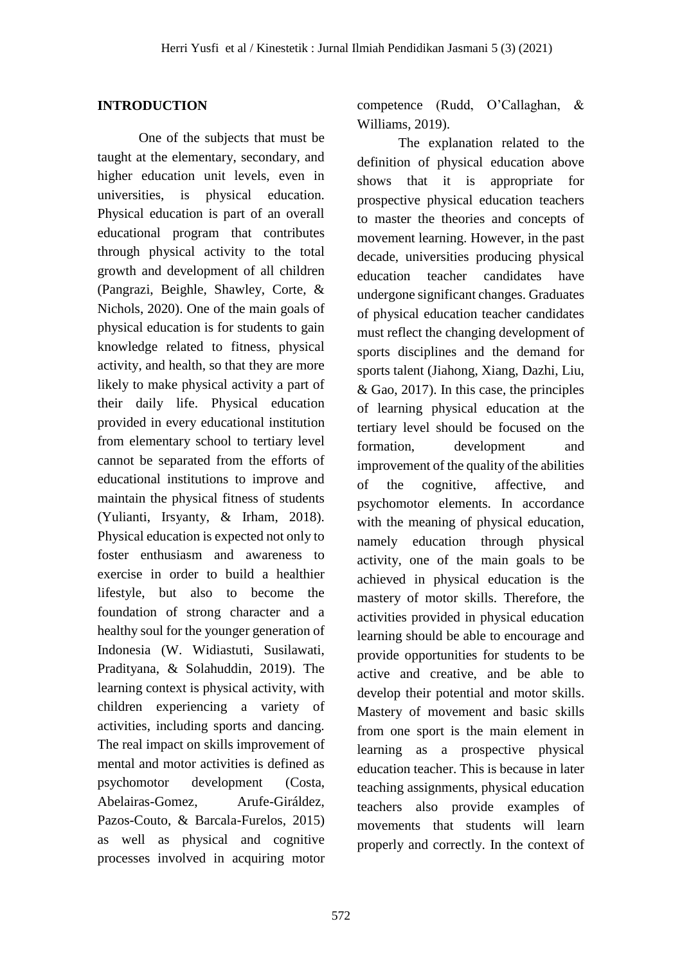## **INTRODUCTION**

One of the subjects that must be taught at the elementary, secondary, and higher education unit levels, even in universities, is physical education. Physical education is part of an overall educational program that contributes through physical activity to the total growth and development of all children (Pangrazi, Beighle, Shawley, Corte, & Nichols, 2020). One of the main goals of physical education is for students to gain knowledge related to fitness, physical activity, and health, so that they are more likely to make physical activity a part of their daily life. Physical education provided in every educational institution from elementary school to tertiary level cannot be separated from the efforts of educational institutions to improve and maintain the physical fitness of students (Yulianti, Irsyanty, & Irham, 2018). Physical education is expected not only to foster enthusiasm and awareness to exercise in order to build a healthier lifestyle, but also to become the foundation of strong character and a healthy soul for the younger generation of Indonesia (W. Widiastuti, Susilawati, Pradityana, & Solahuddin, 2019). The learning context is physical activity, with children experiencing a variety of activities, including sports and dancing. The real impact on skills improvement of mental and motor activities is defined as psychomotor development (Costa, Abelairas-Gomez, Arufe-Giráldez, Pazos-Couto, & Barcala-Furelos, 2015) as well as physical and cognitive processes involved in acquiring motor

competence (Rudd, O'Callaghan, & Williams, 2019).

The explanation related to the definition of physical education above shows that it is appropriate for prospective physical education teachers to master the theories and concepts of movement learning. However, in the past decade, universities producing physical education teacher candidates have undergone significant changes. Graduates of physical education teacher candidates must reflect the changing development of sports disciplines and the demand for sports talent (Jiahong, Xiang, Dazhi, Liu, & Gao, 2017). In this case, the principles of learning physical education at the tertiary level should be focused on the formation, development and improvement of the quality of the abilities of the cognitive, affective, and psychomotor elements. In accordance with the meaning of physical education, namely education through physical activity, one of the main goals to be achieved in physical education is the mastery of motor skills. Therefore, the activities provided in physical education learning should be able to encourage and provide opportunities for students to be active and creative, and be able to develop their potential and motor skills. Mastery of movement and basic skills from one sport is the main element in learning as a prospective physical education teacher. This is because in later teaching assignments, physical education teachers also provide examples of movements that students will learn properly and correctly. In the context of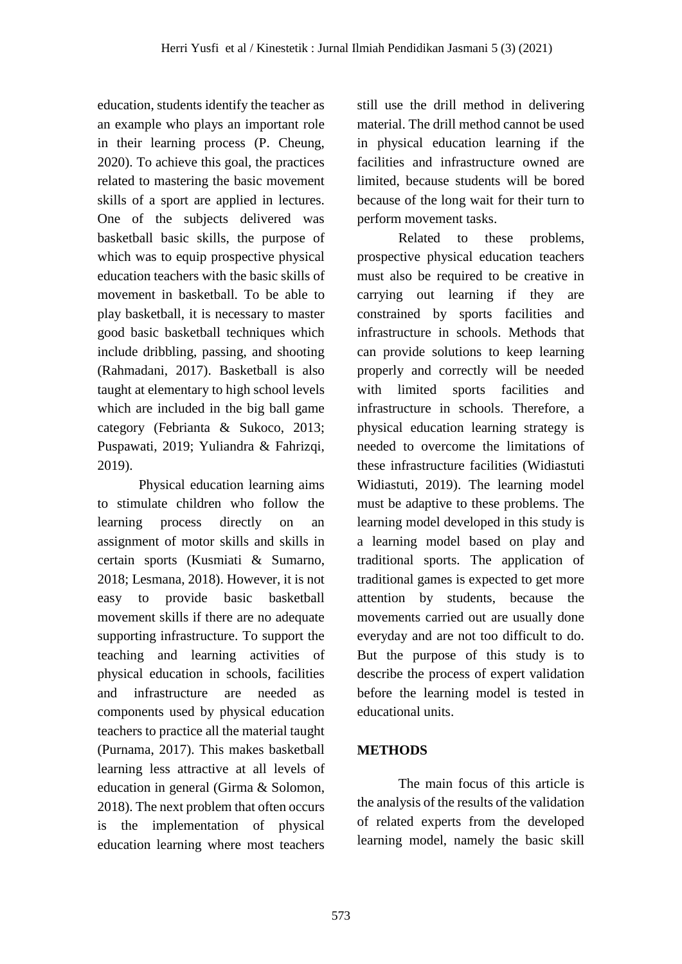education, students identify the teacher as an example who plays an important role in their learning process (P. Cheung, 2020). To achieve this goal, the practices related to mastering the basic movement skills of a sport are applied in lectures. One of the subjects delivered was basketball basic skills, the purpose of which was to equip prospective physical education teachers with the basic skills of movement in basketball. To be able to play basketball, it is necessary to master good basic basketball techniques which include dribbling, passing, and shooting (Rahmadani, 2017). Basketball is also taught at elementary to high school levels which are included in the big ball game category (Febrianta & Sukoco, 2013; Puspawati, 2019; Yuliandra & Fahrizqi, 2019).

Physical education learning aims to stimulate children who follow the learning process directly on an assignment of motor skills and skills in certain sports (Kusmiati & Sumarno, 2018; Lesmana, 2018). However, it is not easy to provide basic basketball movement skills if there are no adequate supporting infrastructure. To support the teaching and learning activities of physical education in schools, facilities and infrastructure are needed as components used by physical education teachers to practice all the material taught (Purnama, 2017). This makes basketball learning less attractive at all levels of education in general (Girma & Solomon, 2018). The next problem that often occurs is the implementation of physical education learning where most teachers

still use the drill method in delivering material. The drill method cannot be used in physical education learning if the facilities and infrastructure owned are limited, because students will be bored because of the long wait for their turn to perform movement tasks.

Related to these problems, prospective physical education teachers must also be required to be creative in carrying out learning if they are constrained by sports facilities and infrastructure in schools. Methods that can provide solutions to keep learning properly and correctly will be needed with limited sports facilities and infrastructure in schools. Therefore, a physical education learning strategy is needed to overcome the limitations of these infrastructure facilities (Widiastuti Widiastuti, 2019). The learning model must be adaptive to these problems. The learning model developed in this study is a learning model based on play and traditional sports. The application of traditional games is expected to get more attention by students, because the movements carried out are usually done everyday and are not too difficult to do. But the purpose of this study is to describe the process of expert validation before the learning model is tested in educational units.

# **METHODS**

The main focus of this article is the analysis of the results of the validation of related experts from the developed learning model, namely the basic skill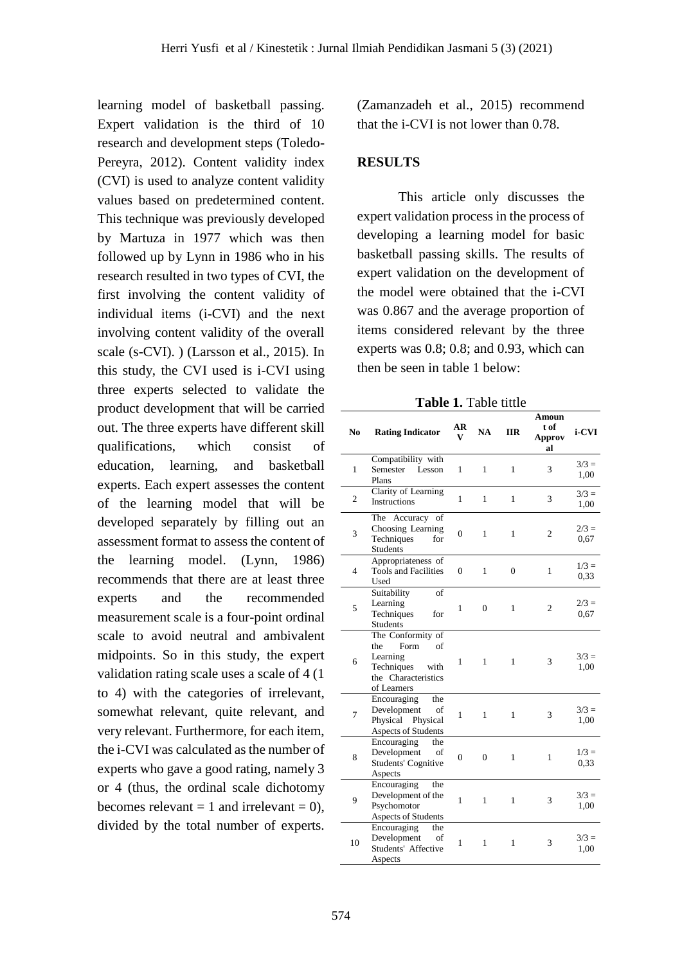learning model of basketball passing. Expert validation is the third of 10 research and development steps (Toledo-Pereyra, 2012). Content validity index (CVI) is used to analyze content validity values based on predetermined content. This technique was previously developed by Martuza in 1977 which was then followed up by Lynn in 1986 who in his research resulted in two types of CVI, the first involving the content validity of individual items (i-CVI) and the next involving content validity of the overall scale (s-CVI). ) (Larsson et al., 2015). In this study, the CVI used is i-CVI using three experts selected to validate the product development that will be carried out. The three experts have different skill qualifications, which consist of education, learning, and basketball experts. Each expert assesses the content of the learning model that will be developed separately by filling out an assessment format to assess the content of the learning model. (Lynn, 1986) recommends that there are at least three experts and the recommended measurement scale is a four-point ordinal scale to avoid neutral and ambivalent midpoints. So in this study, the expert validation rating scale uses a scale of 4 (1 to 4) with the categories of irrelevant, somewhat relevant, quite relevant, and very relevant. Furthermore, for each item, the i-CVI was calculated as the number of experts who gave a good rating, namely 3 or 4 (thus, the ordinal scale dichotomy becomes relevant  $= 1$  and irrelevant  $= 0$ ), divided by the total number of experts.

(Zamanzadeh et al., 2015) recommend that the i-CVI is not lower than 0.78.

### **RESULTS**

This article only discusses the expert validation process in the process of developing a learning model for basic basketball passing skills. The results of expert validation on the development of the model were obtained that the i-CVI was 0.867 and the average proportion of items considered relevant by the three experts was 0.8; 0.8; and 0.93, which can then be seen in table 1 below:

**Table 1.** Table tittle

| No             | <b>Rating Indicator</b>                                                                                        | AR<br>v        | <b>NA</b>    | <b>IIR</b>   | Amoun<br>t of<br>Approv<br>al | i-CVI           |
|----------------|----------------------------------------------------------------------------------------------------------------|----------------|--------------|--------------|-------------------------------|-----------------|
| 1              | Compatibility with<br>Semester Lesson<br>Plans                                                                 | 1              | 1            | 1            | 3                             | $3/3 =$<br>1,00 |
| $\mathfrak{2}$ | Clarity of Learning<br><b>Instructions</b>                                                                     | $\mathbf{1}$   | $\mathbf{1}$ | 1            | 3                             | $3/3 =$<br>1,00 |
| 3              | The Accuracy of<br>Choosing Learning<br>Techniques<br>for<br>Students                                          | 0              | 1            | 1            | $\overline{2}$                | $2/3 =$<br>0.67 |
| $\overline{4}$ | Appropriateness of<br><b>Tools and Facilities</b><br>Used                                                      | $\overline{0}$ | 1            | $\theta$     | 1                             | $1/3 =$<br>0.33 |
| 5              | Suitability<br>of<br>Learning<br>Techniques<br>for<br>Students                                                 | 1              | $\mathbf{0}$ | $\mathbf{1}$ | 2                             | $2/3 =$<br>0.67 |
| 6              | The Conformity of<br>Form<br>of<br>the<br>Learning<br>Techniques<br>with<br>the Characteristics<br>of Learners | 1              | 1            | 1            | 3                             | $3/3 =$<br>1,00 |
| 7              | Encouraging<br>the<br>Development<br>of<br>Physical Physical<br><b>Aspects of Students</b>                     | 1              | 1            | 1            | 3                             | $3/3 =$<br>1,00 |
| 8              | Encouraging<br>the<br>Development<br>οf<br><b>Students' Cognitive</b><br>Aspects                               | $\overline{0}$ | $\mathbf{0}$ | $\mathbf{1}$ | 1                             | $1/3 =$<br>0,33 |
| 9              | Encouraging<br>the<br>Development of the<br>Psychomotor<br><b>Aspects of Students</b>                          | 1              | $\mathbf{1}$ | 1            | 3                             | $3/3 =$<br>1,00 |
| 10             | Encouraging<br>the<br>Development<br>οf<br>Students' Affective<br>Aspects                                      | 1              | $\mathbf{1}$ | 1            | 3                             | $3/3 =$<br>1,00 |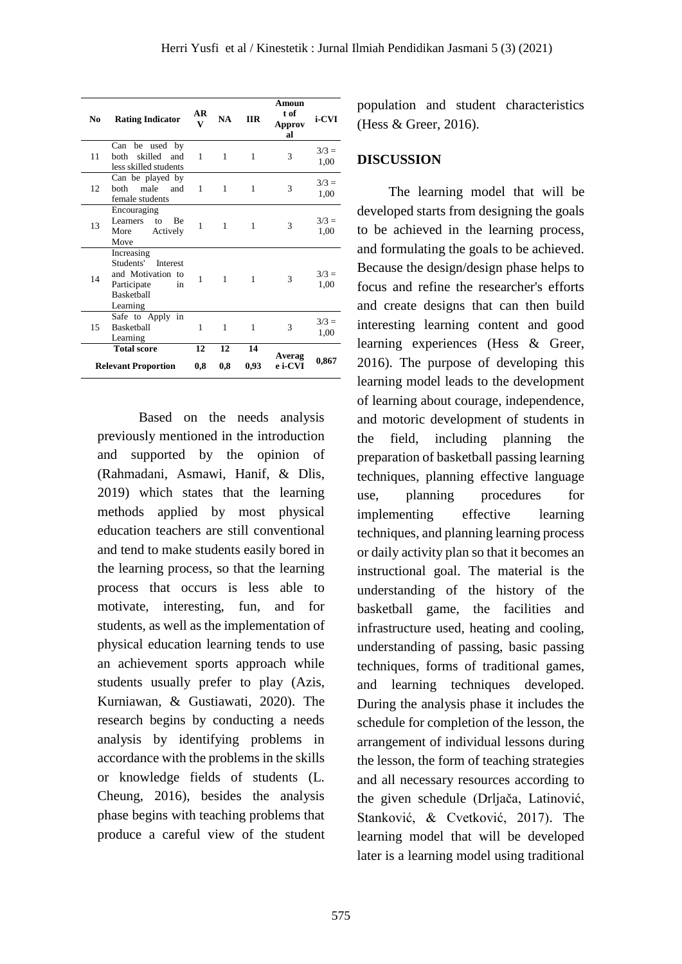| N <sub>0</sub>             | <b>Rating Indicator</b>                                                                                        | AR<br>V | <b>NA</b>    | <b>IIR</b>   | Amoun<br>t of<br><b>Approv</b><br>al | i-CVI           |
|----------------------------|----------------------------------------------------------------------------------------------------------------|---------|--------------|--------------|--------------------------------------|-----------------|
| 11                         | be used by<br>Can<br>skilled<br><b>both</b><br>and<br>less skilled students                                    | 1       | $\mathbf{1}$ | 1            | 3                                    | $3/3 =$<br>1,00 |
| 12                         | Can be played by<br>male<br>hoth<br>and<br>female students                                                     | 1       | $\mathbf{1}$ | 1            | 3                                    | $3/3 =$<br>1,00 |
| 13                         | Encouraging<br><b>Learners</b><br>Be<br>to<br>Actively<br>More<br>Move                                         | 1       | $\mathbf{1}$ | 1            | 3                                    | $3/3 =$<br>1,00 |
| 14                         | Increasing<br>Students'<br>Interest<br>and Motivation to<br>Participate<br>in<br><b>Basketball</b><br>Learning | 1       | 1            | 1            | 3                                    | $3/3 =$<br>1,00 |
| 15                         | Safe to Apply in<br><b>Basketball</b><br>Learning                                                              | 1       | $\mathbf{1}$ | $\mathbf{1}$ | 3                                    | $3/3 =$<br>1,00 |
| <b>Total score</b>         |                                                                                                                | 12      | 12           | 14           | Averag                               |                 |
| <b>Relevant Proportion</b> |                                                                                                                | 0,8     | 0,8          | 0,93         | e i-CVI                              | 0,867           |

Based on the needs analysis previously mentioned in the introduction and supported by the opinion of (Rahmadani, Asmawi, Hanif, & Dlis, 2019) which states that the learning methods applied by most physical education teachers are still conventional and tend to make students easily bored in the learning process, so that the learning process that occurs is less able to motivate, interesting, fun, and for students, as well as the implementation of physical education learning tends to use an achievement sports approach while students usually prefer to play (Azis, Kurniawan, & Gustiawati, 2020). The research begins by conducting a needs analysis by identifying problems in accordance with the problems in the skills or knowledge fields of students (L. Cheung, 2016), besides the analysis phase begins with teaching problems that produce a careful view of the student

population and student characteristics (Hess & Greer, 2016).

## **DISCUSSION**

The learning model that will be developed starts from designing the goals to be achieved in the learning process, and formulating the goals to be achieved. Because the design/design phase helps to focus and refine the researcher's efforts and create designs that can then build interesting learning content and good learning experiences (Hess & Greer, 2016). The purpose of developing this learning model leads to the development of learning about courage, independence, and motoric development of students in the field, including planning the preparation of basketball passing learning techniques, planning effective language use, planning procedures for implementing effective learning techniques, and planning learning process or daily activity plan so that it becomes an instructional goal. The material is the understanding of the history of the basketball game, the facilities and infrastructure used, heating and cooling, understanding of passing, basic passing techniques, forms of traditional games, and learning techniques developed. During the analysis phase it includes the schedule for completion of the lesson, the arrangement of individual lessons during the lesson, the form of teaching strategies and all necessary resources according to the given schedule (Drljača, Latinović, Stanković, & Cvetković, 2017). The learning model that will be developed later is a learning model using traditional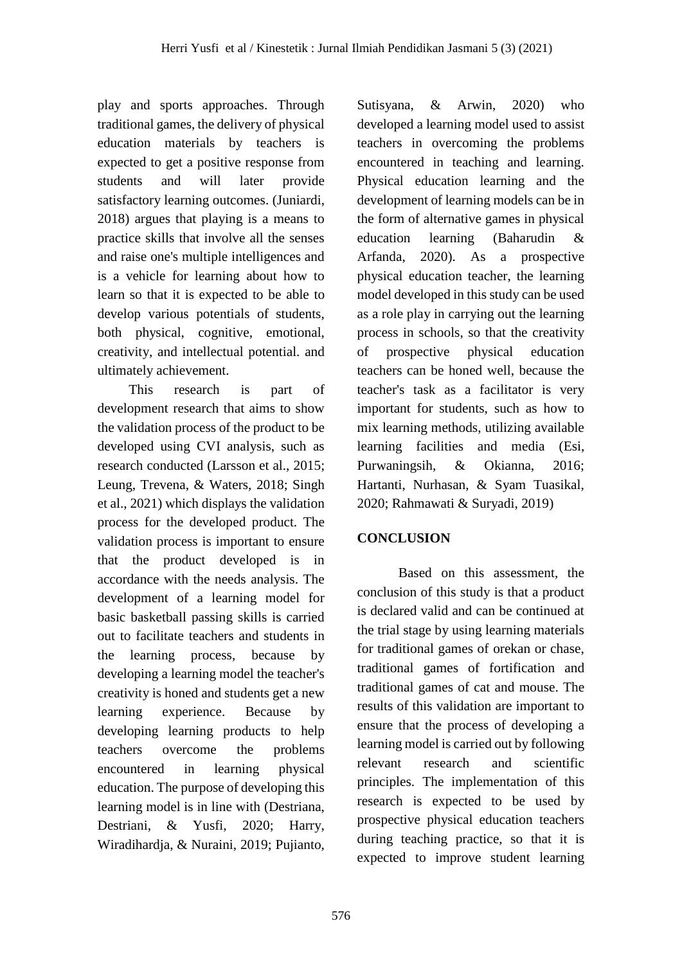play and sports approaches. Through traditional games, the delivery of physical education materials by teachers is expected to get a positive response from students and will later provide satisfactory learning outcomes. (Juniardi, 2018) argues that playing is a means to practice skills that involve all the senses and raise one's multiple intelligences and is a vehicle for learning about how to learn so that it is expected to be able to develop various potentials of students, both physical, cognitive, emotional, creativity, and intellectual potential. and ultimately achievement.

This research is part of development research that aims to show the validation process of the product to be developed using CVI analysis, such as research conducted (Larsson et al., 2015; Leung, Trevena, & Waters, 2018; Singh et al., 2021) which displays the validation process for the developed product. The validation process is important to ensure that the product developed is in accordance with the needs analysis. The development of a learning model for basic basketball passing skills is carried out to facilitate teachers and students in the learning process, because by developing a learning model the teacher's creativity is honed and students get a new learning experience. Because by developing learning products to help teachers overcome the problems encountered in learning physical education. The purpose of developing this learning model is in line with (Destriana, Destriani, & Yusfi, 2020; Harry, Wiradihardja, & Nuraini, 2019; Pujianto, Sutisyana, & Arwin, 2020) who developed a learning model used to assist teachers in overcoming the problems encountered in teaching and learning. Physical education learning and the development of learning models can be in the form of alternative games in physical education learning (Baharudin & Arfanda, 2020). As a prospective physical education teacher, the learning model developed in this study can be used as a role play in carrying out the learning process in schools, so that the creativity of prospective physical education teachers can be honed well, because the teacher's task as a facilitator is very important for students, such as how to mix learning methods, utilizing available learning facilities and media (Esi, Purwaningsih, & Okianna, 2016; Hartanti, Nurhasan, & Syam Tuasikal, 2020; Rahmawati & Suryadi, 2019)

# **CONCLUSION**

Based on this assessment, the conclusion of this study is that a product is declared valid and can be continued at the trial stage by using learning materials for traditional games of orekan or chase, traditional games of fortification and traditional games of cat and mouse. The results of this validation are important to ensure that the process of developing a learning model is carried out by following relevant research and scientific principles. The implementation of this research is expected to be used by prospective physical education teachers during teaching practice, so that it is expected to improve student learning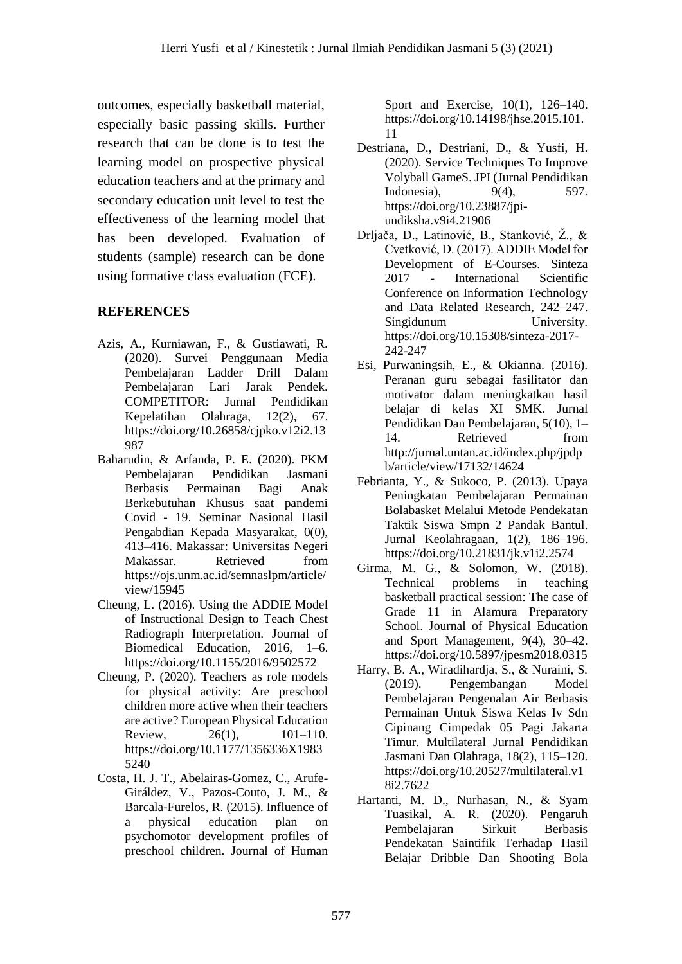outcomes, especially basketball material, especially basic passing skills. Further research that can be done is to test the learning model on prospective physical education teachers and at the primary and secondary education unit level to test the effectiveness of the learning model that has been developed. Evaluation of students (sample) research can be done using formative class evaluation (FCE).

## **REFERENCES**

- Azis, A., Kurniawan, F., & Gustiawati, R. (2020). Survei Penggunaan Media Pembelajaran Ladder Drill Dalam Pembelajaran Lari Jarak Pendek. COMPETITOR: Jurnal Pendidikan Kepelatihan Olahraga, 12(2), 67. https://doi.org/10.26858/cjpko.v12i2.13 987
- Baharudin, & Arfanda, P. E. (2020). PKM Pembelajaran Pendidikan Jasmani Berbasis Permainan Bagi Anak Berkebutuhan Khusus saat pandemi Covid - 19. Seminar Nasional Hasil Pengabdian Kepada Masyarakat, 0(0), 413–416. Makassar: Universitas Negeri Makassar. Retrieved from https://ojs.unm.ac.id/semnaslpm/article/ view/15945
- Cheung, L. (2016). Using the ADDIE Model of Instructional Design to Teach Chest Radiograph Interpretation. Journal of Biomedical Education, 2016, 1–6. https://doi.org/10.1155/2016/9502572
- Cheung, P. (2020). Teachers as role models for physical activity: Are preschool children more active when their teachers are active? European Physical Education Review, 26(1), 101–110. https://doi.org/10.1177/1356336X1983 5240
- Costa, H. J. T., Abelairas-Gomez, C., Arufe-Giráldez, V., Pazos-Couto, J. M., & Barcala-Furelos, R. (2015). Influence of a physical education plan on psychomotor development profiles of preschool children. Journal of Human

Sport and Exercise, 10(1), 126–140. https://doi.org/10.14198/jhse.2015.101. 11

- Destriana, D., Destriani, D., & Yusfi, H. (2020). Service Techniques To Improve Volyball GameS. JPI (Jurnal Pendidikan Indonesia), 9(4), 597. https://doi.org/10.23887/jpiundiksha.v9i4.21906
- Drljača, D., Latinović, B., Stanković, Ž., & Cvetković, D. (2017). ADDIE Model for Development of E-Courses. Sinteza 2017 - International Scientific Conference on Information Technology and Data Related Research, 242–247. Singidunum University. https://doi.org/10.15308/sinteza-2017- 242-247
- Esi, Purwaningsih, E., & Okianna. (2016). Peranan guru sebagai fasilitator dan motivator dalam meningkatkan hasil belajar di kelas XI SMK. Jurnal Pendidikan Dan Pembelajaran, 5(10), 1– 14. Retrieved from http://jurnal.untan.ac.id/index.php/jpdp b/article/view/17132/14624
- Febrianta, Y., & Sukoco, P. (2013). Upaya Peningkatan Pembelajaran Permainan Bolabasket Melalui Metode Pendekatan Taktik Siswa Smpn 2 Pandak Bantul. Jurnal Keolahragaan, 1(2), 186–196. https://doi.org/10.21831/jk.v1i2.2574
- Girma, M. G., & Solomon, W. (2018). Technical problems in teaching basketball practical session: The case of Grade 11 in Alamura Preparatory School. Journal of Physical Education and Sport Management, 9(4), 30–42. https://doi.org/10.5897/jpesm2018.0315
- Harry, B. A., Wiradihardja, S., & Nuraini, S. (2019). Pengembangan Model Pembelajaran Pengenalan Air Berbasis Permainan Untuk Siswa Kelas Iv Sdn Cipinang Cimpedak 05 Pagi Jakarta Timur. Multilateral Jurnal Pendidikan Jasmani Dan Olahraga, 18(2), 115–120. https://doi.org/10.20527/multilateral.v1 8i2.7622
- Hartanti, M. D., Nurhasan, N., & Syam Tuasikal, A. R. (2020). Pengaruh Pembelajaran Sirkuit Berbasis Pendekatan Saintifik Terhadap Hasil Belajar Dribble Dan Shooting Bola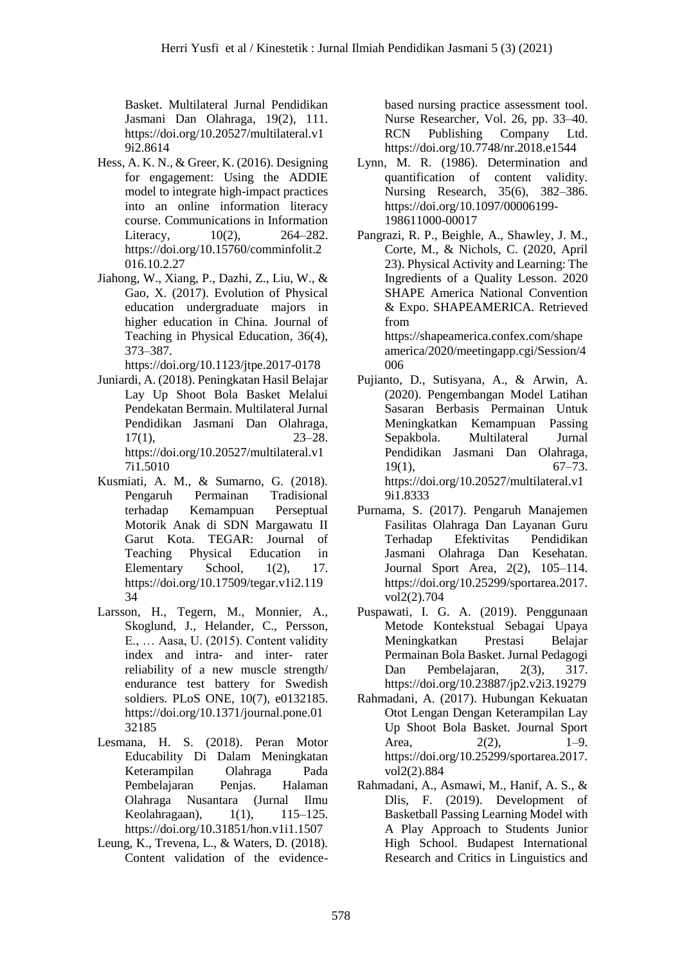Basket. Multilateral Jurnal Pendidikan Jasmani Dan Olahraga, 19(2), 111. https://doi.org/10.20527/multilateral.v1 9i2.8614

- Hess, A. K. N., & Greer, K. (2016). Designing for engagement: Using the ADDIE model to integrate high-impact practices into an online information literacy course. Communications in Information Literacy, 10(2), 264–282. https://doi.org/10.15760/comminfolit.2 016.10.2.27
- Jiahong, W., Xiang, P., Dazhi, Z., Liu, W., & Gao, X. (2017). Evolution of Physical education undergraduate majors in higher education in China. Journal of Teaching in Physical Education, 36(4), 373–387.

https://doi.org/10.1123/jtpe.2017-0178

- Juniardi, A. (2018). Peningkatan Hasil Belajar Lay Up Shoot Bola Basket Melalui Pendekatan Bermain. Multilateral Jurnal Pendidikan Jasmani Dan Olahraga, 17(1), 23–28. https://doi.org/10.20527/multilateral.v1 7i1.5010
- Kusmiati, A. M., & Sumarno, G. (2018). Pengaruh Permainan Tradisional terhadap Kemampuan Perseptual Motorik Anak di SDN Margawatu II Garut Kota. TEGAR: Journal of Teaching Physical Education in Elementary School,  $1(2)$ , 17. https://doi.org/10.17509/tegar.v1i2.119 34
- Larsson, H., Tegern, M., Monnier, A., Skoglund, J., Helander, C., Persson, E., … Aasa, U. (2015). Content validity index and intra- and inter- rater reliability of a new muscle strength/ endurance test battery for Swedish soldiers. PLoS ONE, 10(7), e0132185. https://doi.org/10.1371/journal.pone.01 32185
- Lesmana, H. S. (2018). Peran Motor Educability Di Dalam Meningkatan Keterampilan Olahraga Pada Pembelajaran Penjas. Halaman Olahraga Nusantara (Jurnal Ilmu Keolahragaan), 1(1), 115–125. https://doi.org/10.31851/hon.v1i1.1507
- Leung, K., Trevena, L., & Waters, D. (2018). Content validation of the evidence-

based nursing practice assessment tool. Nurse Researcher, Vol. 26, pp. 33–40. RCN Publishing Company Ltd. https://doi.org/10.7748/nr.2018.e1544

- Lynn, M. R. (1986). Determination and quantification of content validity. Nursing Research, 35(6), 382–386. https://doi.org/10.1097/00006199- 198611000-00017
- Pangrazi, R. P., Beighle, A., Shawley, J. M., Corte, M., & Nichols, C. (2020, April 23). Physical Activity and Learning: The Ingredients of a Quality Lesson. 2020 SHAPE America National Convention & Expo. SHAPEAMERICA. Retrieved from https://shapeamerica.confex.com/shape america/2020/meetingapp.cgi/Session/4 006
- Pujianto, D., Sutisyana, A., & Arwin, A. (2020). Pengembangan Model Latihan Sasaran Berbasis Permainan Untuk Meningkatkan Kemampuan Passing Sepakbola. Multilateral Jurnal Pendidikan Jasmani Dan Olahraga,  $19(1),$  67–73. https://doi.org/10.20527/multilateral.v1 9i1.8333
- Purnama, S. (2017). Pengaruh Manajemen Fasilitas Olahraga Dan Layanan Guru Terhadap Efektivitas Pendidikan Jasmani Olahraga Dan Kesehatan. Journal Sport Area, 2(2), 105–114. https://doi.org/10.25299/sportarea.2017. vol2(2).704
- Puspawati, I. G. A. (2019). Penggunaan Metode Kontekstual Sebagai Upaya Meningkatkan Prestasi Belajar Permainan Bola Basket. Jurnal Pedagogi Dan Pembelajaran, 2(3), 317. https://doi.org/10.23887/jp2.v2i3.19279
- Rahmadani, A. (2017). Hubungan Kekuatan Otot Lengan Dengan Keterampilan Lay Up Shoot Bola Basket. Journal Sport Area, 2(2), 1–9. https://doi.org/10.25299/sportarea.2017. vol2(2).884
- Rahmadani, A., Asmawi, M., Hanif, A. S., & Dlis, F. (2019). Development of Basketball Passing Learning Model with A Play Approach to Students Junior High School. Budapest International Research and Critics in Linguistics and